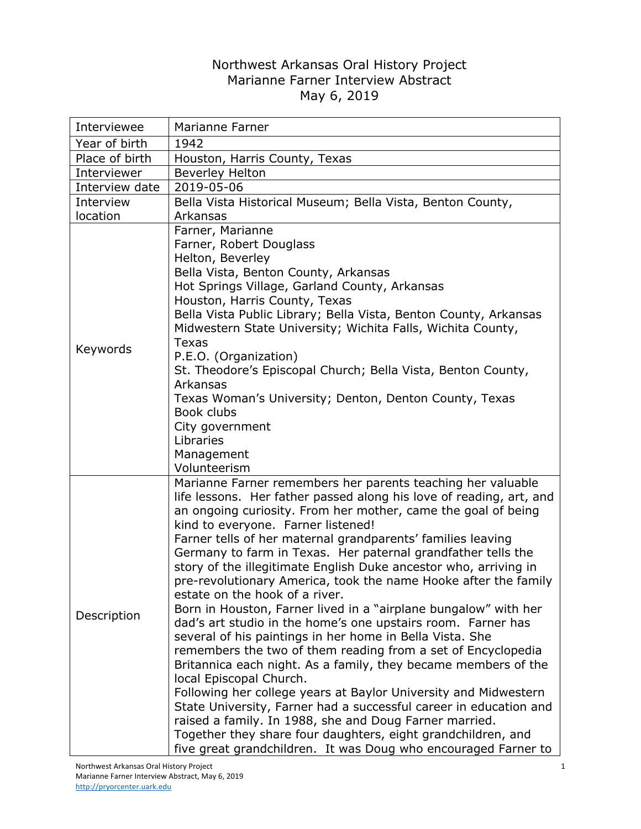## Northwest Arkansas Oral History Project Marianne Farner Interview Abstract May 6, 2019

| Interviewee    | Marianne Farner                                                                                                                                                                                                                                                                                                                                                                                                                                                                                                                                                                                                                                                                                                                                                                                                                                                                                                                                                                                                                                                                                                                                                                                                                                   |
|----------------|---------------------------------------------------------------------------------------------------------------------------------------------------------------------------------------------------------------------------------------------------------------------------------------------------------------------------------------------------------------------------------------------------------------------------------------------------------------------------------------------------------------------------------------------------------------------------------------------------------------------------------------------------------------------------------------------------------------------------------------------------------------------------------------------------------------------------------------------------------------------------------------------------------------------------------------------------------------------------------------------------------------------------------------------------------------------------------------------------------------------------------------------------------------------------------------------------------------------------------------------------|
| Year of birth  | 1942                                                                                                                                                                                                                                                                                                                                                                                                                                                                                                                                                                                                                                                                                                                                                                                                                                                                                                                                                                                                                                                                                                                                                                                                                                              |
| Place of birth | Houston, Harris County, Texas                                                                                                                                                                                                                                                                                                                                                                                                                                                                                                                                                                                                                                                                                                                                                                                                                                                                                                                                                                                                                                                                                                                                                                                                                     |
| Interviewer    | <b>Beverley Helton</b>                                                                                                                                                                                                                                                                                                                                                                                                                                                                                                                                                                                                                                                                                                                                                                                                                                                                                                                                                                                                                                                                                                                                                                                                                            |
| Interview date | 2019-05-06                                                                                                                                                                                                                                                                                                                                                                                                                                                                                                                                                                                                                                                                                                                                                                                                                                                                                                                                                                                                                                                                                                                                                                                                                                        |
| Interview      | Bella Vista Historical Museum; Bella Vista, Benton County,                                                                                                                                                                                                                                                                                                                                                                                                                                                                                                                                                                                                                                                                                                                                                                                                                                                                                                                                                                                                                                                                                                                                                                                        |
| location       | Arkansas                                                                                                                                                                                                                                                                                                                                                                                                                                                                                                                                                                                                                                                                                                                                                                                                                                                                                                                                                                                                                                                                                                                                                                                                                                          |
| Keywords       | Farner, Marianne<br>Farner, Robert Douglass<br>Helton, Beverley<br>Bella Vista, Benton County, Arkansas<br>Hot Springs Village, Garland County, Arkansas<br>Houston, Harris County, Texas<br>Bella Vista Public Library; Bella Vista, Benton County, Arkansas<br>Midwestern State University; Wichita Falls, Wichita County,<br><b>Texas</b><br>P.E.O. (Organization)<br>St. Theodore's Episcopal Church; Bella Vista, Benton County,<br>Arkansas<br>Texas Woman's University; Denton, Denton County, Texas<br>Book clubs<br>City government<br>Libraries<br>Management<br>Volunteerism                                                                                                                                                                                                                                                                                                                                                                                                                                                                                                                                                                                                                                                           |
| Description    | Marianne Farner remembers her parents teaching her valuable<br>life lessons. Her father passed along his love of reading, art, and<br>an ongoing curiosity. From her mother, came the goal of being<br>kind to everyone. Farner listened!<br>Farner tells of her maternal grandparents' families leaving<br>Germany to farm in Texas. Her paternal grandfather tells the<br>story of the illegitimate English Duke ancestor who, arriving in<br>pre-revolutionary America, took the name Hooke after the family<br>estate on the hook of a river.<br>Born in Houston, Farner lived in a "airplane bungalow" with her<br>dad's art studio in the home's one upstairs room. Farner has<br>several of his paintings in her home in Bella Vista. She<br>remembers the two of them reading from a set of Encyclopedia<br>Britannica each night. As a family, they became members of the<br>local Episcopal Church.<br>Following her college years at Baylor University and Midwestern<br>State University, Farner had a successful career in education and<br>raised a family. In 1988, she and Doug Farner married.<br>Together they share four daughters, eight grandchildren, and<br>five great grandchildren. It was Doug who encouraged Farner to |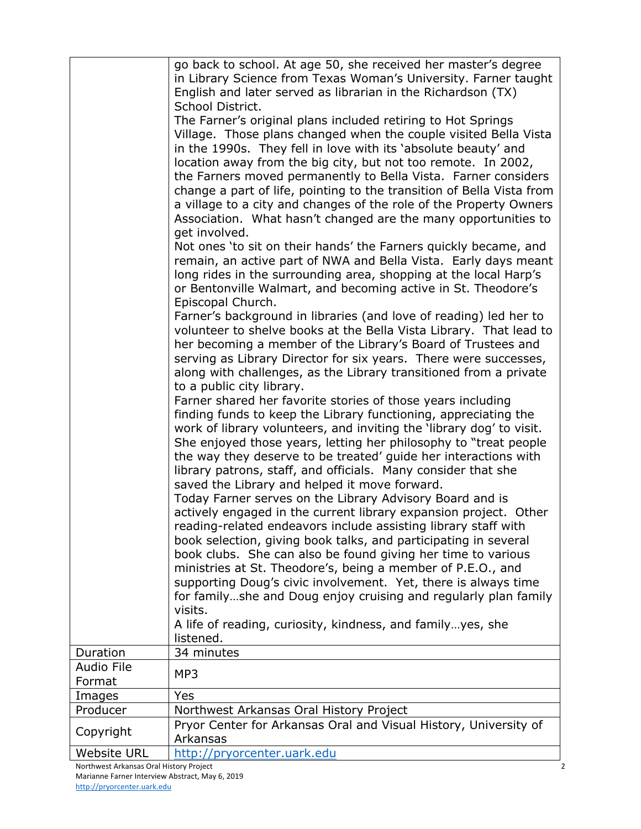| Not ones 'to sit on their hands' the Farners quickly became, and<br>remain, an active part of NWA and Bella Vista. Early days meant<br>long rides in the surrounding area, shopping at the local Harp's<br>or Bentonville Walmart, and becoming active in St. Theodore's<br>Episcopal Church.<br>Farner's background in libraries (and love of reading) led her to<br>volunteer to shelve books at the Bella Vista Library. That lead to<br>her becoming a member of the Library's Board of Trustees and<br>serving as Library Director for six years. There were successes,<br>along with challenges, as the Library transitioned from a private<br>to a public city library.<br>Farner shared her favorite stories of those years including<br>finding funds to keep the Library functioning, appreciating the<br>work of library volunteers, and inviting the 'library dog' to visit.<br>She enjoyed those years, letting her philosophy to "treat people"<br>the way they deserve to be treated' guide her interactions with<br>library patrons, staff, and officials. Many consider that she<br>saved the Library and helped it move forward.<br>Today Farner serves on the Library Advisory Board and is<br>actively engaged in the current library expansion project. Other<br>reading-related endeavors include assisting library staff with<br>book selection, giving book talks, and participating in several<br>book clubs. She can also be found giving her time to various<br>ministries at St. Theodore's, being a member of P.E.O., and<br>supporting Doug's civic involvement. Yet, there is always time<br>for familyshe and Doug enjoy cruising and regularly plan family<br>visits.<br>A life of reading, curiosity, kindness, and familyyes, she<br>listened.<br>Duration<br>34 minutes<br><b>Audio File</b><br>MP3<br>Format<br>Yes<br>Images<br>Producer<br>Northwest Arkansas Oral History Project<br>Pryor Center for Arkansas Oral and Visual History, University of<br>Copyright<br>Arkansas<br>http://pryorcenter.uark.edu<br><b>Website URL</b><br>Northwest Arkansas Oral History Project | go back to school. At age 50, she received her master's degree<br>in Library Science from Texas Woman's University. Farner taught<br>English and later served as librarian in the Richardson (TX)<br>School District.<br>The Farner's original plans included retiring to Hot Springs<br>Village. Those plans changed when the couple visited Bella Vista<br>in the 1990s. They fell in love with its 'absolute beauty' and<br>location away from the big city, but not too remote. In 2002,<br>the Farners moved permanently to Bella Vista. Farner considers<br>change a part of life, pointing to the transition of Bella Vista from<br>a village to a city and changes of the role of the Property Owners<br>Association. What hasn't changed are the many opportunities to<br>get involved. |
|------------------------------------------------------------------------------------------------------------------------------------------------------------------------------------------------------------------------------------------------------------------------------------------------------------------------------------------------------------------------------------------------------------------------------------------------------------------------------------------------------------------------------------------------------------------------------------------------------------------------------------------------------------------------------------------------------------------------------------------------------------------------------------------------------------------------------------------------------------------------------------------------------------------------------------------------------------------------------------------------------------------------------------------------------------------------------------------------------------------------------------------------------------------------------------------------------------------------------------------------------------------------------------------------------------------------------------------------------------------------------------------------------------------------------------------------------------------------------------------------------------------------------------------------------------------------------------------------------------------------------------------------------------------------------------------------------------------------------------------------------------------------------------------------------------------------------------------------------------------------------------------------------------------------------------------------------------------------------------------------------------------------------------------------------------------------------------------------------------------------|--------------------------------------------------------------------------------------------------------------------------------------------------------------------------------------------------------------------------------------------------------------------------------------------------------------------------------------------------------------------------------------------------------------------------------------------------------------------------------------------------------------------------------------------------------------------------------------------------------------------------------------------------------------------------------------------------------------------------------------------------------------------------------------------------|
|                                                                                                                                                                                                                                                                                                                                                                                                                                                                                                                                                                                                                                                                                                                                                                                                                                                                                                                                                                                                                                                                                                                                                                                                                                                                                                                                                                                                                                                                                                                                                                                                                                                                                                                                                                                                                                                                                                                                                                                                                                                                                                                        |                                                                                                                                                                                                                                                                                                                                                                                                                                                                                                                                                                                                                                                                                                                                                                                                  |
|                                                                                                                                                                                                                                                                                                                                                                                                                                                                                                                                                                                                                                                                                                                                                                                                                                                                                                                                                                                                                                                                                                                                                                                                                                                                                                                                                                                                                                                                                                                                                                                                                                                                                                                                                                                                                                                                                                                                                                                                                                                                                                                        |                                                                                                                                                                                                                                                                                                                                                                                                                                                                                                                                                                                                                                                                                                                                                                                                  |
|                                                                                                                                                                                                                                                                                                                                                                                                                                                                                                                                                                                                                                                                                                                                                                                                                                                                                                                                                                                                                                                                                                                                                                                                                                                                                                                                                                                                                                                                                                                                                                                                                                                                                                                                                                                                                                                                                                                                                                                                                                                                                                                        |                                                                                                                                                                                                                                                                                                                                                                                                                                                                                                                                                                                                                                                                                                                                                                                                  |
|                                                                                                                                                                                                                                                                                                                                                                                                                                                                                                                                                                                                                                                                                                                                                                                                                                                                                                                                                                                                                                                                                                                                                                                                                                                                                                                                                                                                                                                                                                                                                                                                                                                                                                                                                                                                                                                                                                                                                                                                                                                                                                                        |                                                                                                                                                                                                                                                                                                                                                                                                                                                                                                                                                                                                                                                                                                                                                                                                  |
|                                                                                                                                                                                                                                                                                                                                                                                                                                                                                                                                                                                                                                                                                                                                                                                                                                                                                                                                                                                                                                                                                                                                                                                                                                                                                                                                                                                                                                                                                                                                                                                                                                                                                                                                                                                                                                                                                                                                                                                                                                                                                                                        |                                                                                                                                                                                                                                                                                                                                                                                                                                                                                                                                                                                                                                                                                                                                                                                                  |
|                                                                                                                                                                                                                                                                                                                                                                                                                                                                                                                                                                                                                                                                                                                                                                                                                                                                                                                                                                                                                                                                                                                                                                                                                                                                                                                                                                                                                                                                                                                                                                                                                                                                                                                                                                                                                                                                                                                                                                                                                                                                                                                        |                                                                                                                                                                                                                                                                                                                                                                                                                                                                                                                                                                                                                                                                                                                                                                                                  |
|                                                                                                                                                                                                                                                                                                                                                                                                                                                                                                                                                                                                                                                                                                                                                                                                                                                                                                                                                                                                                                                                                                                                                                                                                                                                                                                                                                                                                                                                                                                                                                                                                                                                                                                                                                                                                                                                                                                                                                                                                                                                                                                        |                                                                                                                                                                                                                                                                                                                                                                                                                                                                                                                                                                                                                                                                                                                                                                                                  |
|                                                                                                                                                                                                                                                                                                                                                                                                                                                                                                                                                                                                                                                                                                                                                                                                                                                                                                                                                                                                                                                                                                                                                                                                                                                                                                                                                                                                                                                                                                                                                                                                                                                                                                                                                                                                                                                                                                                                                                                                                                                                                                                        |                                                                                                                                                                                                                                                                                                                                                                                                                                                                                                                                                                                                                                                                                                                                                                                                  |
|                                                                                                                                                                                                                                                                                                                                                                                                                                                                                                                                                                                                                                                                                                                                                                                                                                                                                                                                                                                                                                                                                                                                                                                                                                                                                                                                                                                                                                                                                                                                                                                                                                                                                                                                                                                                                                                                                                                                                                                                                                                                                                                        |                                                                                                                                                                                                                                                                                                                                                                                                                                                                                                                                                                                                                                                                                                                                                                                                  |
|                                                                                                                                                                                                                                                                                                                                                                                                                                                                                                                                                                                                                                                                                                                                                                                                                                                                                                                                                                                                                                                                                                                                                                                                                                                                                                                                                                                                                                                                                                                                                                                                                                                                                                                                                                                                                                                                                                                                                                                                                                                                                                                        |                                                                                                                                                                                                                                                                                                                                                                                                                                                                                                                                                                                                                                                                                                                                                                                                  |
|                                                                                                                                                                                                                                                                                                                                                                                                                                                                                                                                                                                                                                                                                                                                                                                                                                                                                                                                                                                                                                                                                                                                                                                                                                                                                                                                                                                                                                                                                                                                                                                                                                                                                                                                                                                                                                                                                                                                                                                                                                                                                                                        |                                                                                                                                                                                                                                                                                                                                                                                                                                                                                                                                                                                                                                                                                                                                                                                                  |